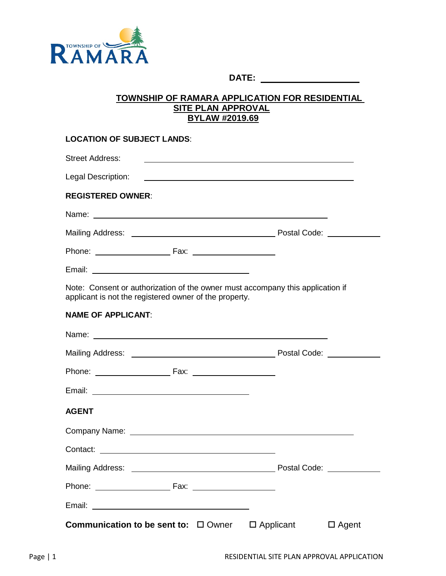

**DATE:** 

#### **TOWNSHIP OF RAMARA APPLICATION FOR RESIDENTIAL SITE PLAN APPROVAL BYLAW #2019.69**

| <b>LOCATION OF SUBJECT LANDS:</b>                                                                                                                                                                                              |                                                                                                                  |
|--------------------------------------------------------------------------------------------------------------------------------------------------------------------------------------------------------------------------------|------------------------------------------------------------------------------------------------------------------|
| <b>Street Address:</b>                                                                                                                                                                                                         | and the control of the control of the control of the control of the control of the control of the control of the |
| <b>Legal Description:</b>                                                                                                                                                                                                      |                                                                                                                  |
| <b>REGISTERED OWNER:</b>                                                                                                                                                                                                       |                                                                                                                  |
|                                                                                                                                                                                                                                |                                                                                                                  |
|                                                                                                                                                                                                                                |                                                                                                                  |
|                                                                                                                                                                                                                                |                                                                                                                  |
|                                                                                                                                                                                                                                |                                                                                                                  |
| Note: Consent or authorization of the owner must accompany this application if<br>applicant is not the registered owner of the property.                                                                                       |                                                                                                                  |
| <b>NAME OF APPLICANT:</b>                                                                                                                                                                                                      |                                                                                                                  |
|                                                                                                                                                                                                                                |                                                                                                                  |
|                                                                                                                                                                                                                                |                                                                                                                  |
|                                                                                                                                                                                                                                |                                                                                                                  |
|                                                                                                                                                                                                                                |                                                                                                                  |
| <b>AGENT</b>                                                                                                                                                                                                                   |                                                                                                                  |
| Company Name: The Company Name: The Company Name: The Company Name: The Company Name: The Company Name: The Company Name: The Company Name: The Company Name: The Company Name: The Company Of Company Name: The Company Of Co |                                                                                                                  |
| Contact: with the contract of the contract of the contract of the contract of the contract of the contract of the contract of the contract of the contract of the contract of the contract of the contract of the contract of  |                                                                                                                  |
|                                                                                                                                                                                                                                |                                                                                                                  |
|                                                                                                                                                                                                                                |                                                                                                                  |
| Email: <u>Contract Communication</u>                                                                                                                                                                                           |                                                                                                                  |
| <b>Communication to be sent to:</b> □ Owner □ Applicant                                                                                                                                                                        | $\Box$ Agent                                                                                                     |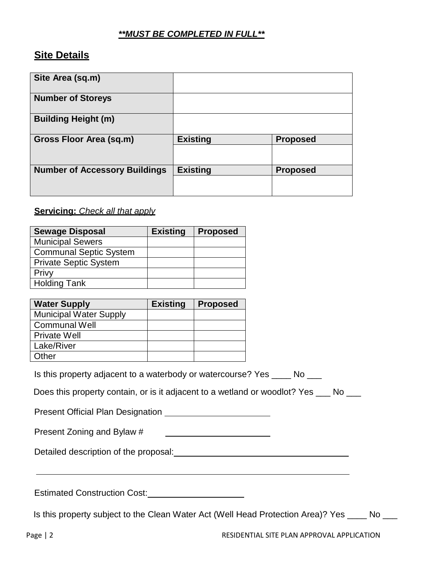#### *\*\*MUST BE COMPLETED IN FULL\*\**

## **Site Details**

| Site Area (sq.m)                     |                 |                 |
|--------------------------------------|-----------------|-----------------|
| <b>Number of Storeys</b>             |                 |                 |
| <b>Building Height (m)</b>           |                 |                 |
| Gross Floor Area (sq.m)              | <b>Existing</b> | <b>Proposed</b> |
|                                      |                 |                 |
| <b>Number of Accessory Buildings</b> | <b>Existing</b> | <b>Proposed</b> |
|                                      |                 |                 |

#### **Servicing:** *Check all that apply*

| <b>Sewage Disposal</b>        | <b>Existing</b> | <b>Proposed</b> |
|-------------------------------|-----------------|-----------------|
| <b>Municipal Sewers</b>       |                 |                 |
| <b>Communal Septic System</b> |                 |                 |
| <b>Private Septic System</b>  |                 |                 |
| Privy                         |                 |                 |
| <b>Holding Tank</b>           |                 |                 |

| <b>Water Supply</b>           | <b>Existing</b> | <b>Proposed</b> |
|-------------------------------|-----------------|-----------------|
| <b>Municipal Water Supply</b> |                 |                 |
| <b>Communal Well</b>          |                 |                 |
| <b>Private Well</b>           |                 |                 |
| Lake/River                    |                 |                 |
| Other                         |                 |                 |

Is this property adjacent to a waterbody or watercourse? Yes \_\_\_\_ No \_\_\_

Does this property contain, or is it adjacent to a wetland or woodlot? Yes  $\_\_\_$  No  $\_\_\_\_$ 

Present Official Plan Designation

Present Zoning and Bylaw #

Detailed description of the proposal: Detailed description of the proposal:

Estimated Construction Cost:<br>
<u>Estimated Construction Cost:</u>

Is this property subject to the Clean Water Act (Well Head Protection Area)? Yes \_\_\_\_ No \_\_\_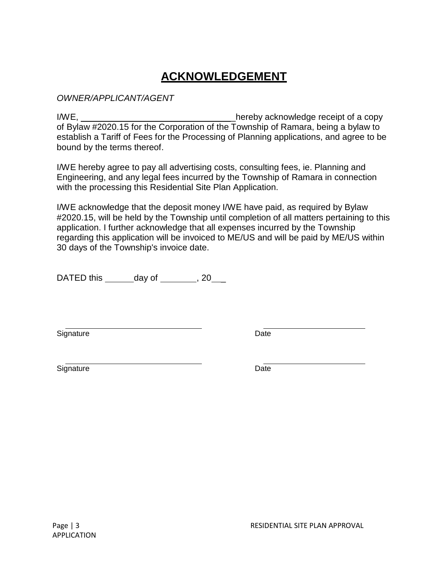# **ACKNOWLEDGEMENT**

#### *OWNER/APPLICANT/AGENT*

I/WE, \_\_\_\_\_\_\_\_\_\_\_\_\_\_\_\_\_\_\_\_\_\_\_\_\_\_\_\_\_\_\_hereby acknowledge receipt of a copy of Bylaw #2020.15 for the Corporation of the Township of Ramara, being a bylaw to establish a Tariff of Fees for the Processing of Planning applications, and agree to be bound by the terms thereof.

I/WE hereby agree to pay all advertising costs, consulting fees, ie. Planning and Engineering, and any legal fees incurred by the Township of Ramara in connection with the processing this Residential Site Plan Application.

I/WE acknowledge that the deposit money I/WE have paid, as required by Bylaw #2020.15, will be held by the Township until completion of all matters pertaining to this application. I further acknowledge that all expenses incurred by the Township regarding this application will be invoiced to ME/US and will be paid by ME/US within 30 days of the Township's invoice date.

DATED this  $\_\_\_\_\$  day of  $\_\_\_\_\_\$ , 20

Signature Date **Date** 

Signature Date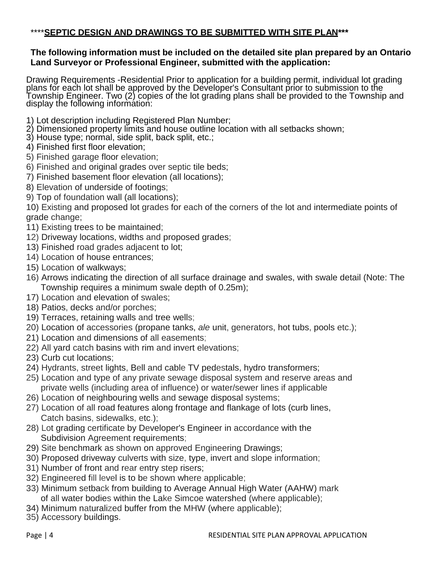### \*\*\*\***SEPTIC DESIGN AND DRAWINGS TO BE SUBMITTED WITH SITE PLAN\*\*\***

#### **The following information must be included on the detailed site plan prepared by an Ontario Land Surveyor or Professional Engineer, submitted with the application:**

Drawing Requirements -Residential Prior to application for a building permit, individual lot grading<br>plans for each lot shall be approved by the Developer's Consultant prior to submission to the Township Engineer. Two (2) copies of the lot grading plans shall be provided to the Township and<br>display the following information:

- 1) Lot description including Registered Plan Number;
- 2) Dimensioned property limits and house outline location with all setbacks shown;
- 3) House type; normal, side split, back split, etc.;
- 4) Finished first floor elevation;
- 5) Finished garage floor elevation;
- 6) Finished and original grades over septic tile beds;
- 7) Finished basement floor elevation (all locations);
- 8) Elevation of underside of footings;
- 9) Top of foundation wall (all locations);

10) Existing and proposed lot grades for each of the corners of the lot and intermediate points of grade change;

- 11) Existing trees to be maintained;
- 12) Driveway locations, widths and proposed grades;
- 13) Finished road grades adjacent to lot;
- 14) Location of house entrances;
- 15) Location of walkways;
- 16) Arrows indicating the direction of all surface drainage and swales, with swale detail (Note: The Township requires a minimum swale depth of 0.25m);
- 17) Location and elevation of swales;
- 18) Patios, decks and/or porches;
- 19) Terraces, retaining walls and tree wells;
- 20) Location of accessories (propane tanks, *ale* unit, generators, hot tubs, pools etc.);
- 21) Location and dimensions of all easements;
- 22) All yard catch basins with rim and invert elevations;
- 23) Curb cut locations;
- 24) Hydrants, street lights, Bell and cable TV pedestals, hydro transformers;
- 25) Location and type of any private sewage disposal system and reserve areas and private wells (including area of influence) or water/sewer lines if applicable
- 26) Location of neighbouring wells and sewage disposal systems;
- 27) Location of all road features along frontage and flankage of lots (curb lines, Catch basins, sidewalks, etc.);
- 28) Lot grading certificate by Developer's Engineer in accordance with the Subdivision Agreement requirements;
- 29) Site benchmark as shown on approved Engineering Drawings;
- 30) Proposed driveway culverts with size, type, invert and slope information;
- 31) Number of front and rear entry step risers;
- 32) Engineered fill level is to be shown where applicable;
- 33) Minimum setback from building to Average Annual High Water (AAHW) mark of all water bodies within the Lake Simcoe watershed (where applicable);
- 34) Minimum naturalized buffer from the MHW (where applicable);
- 35) Accessory buildings.